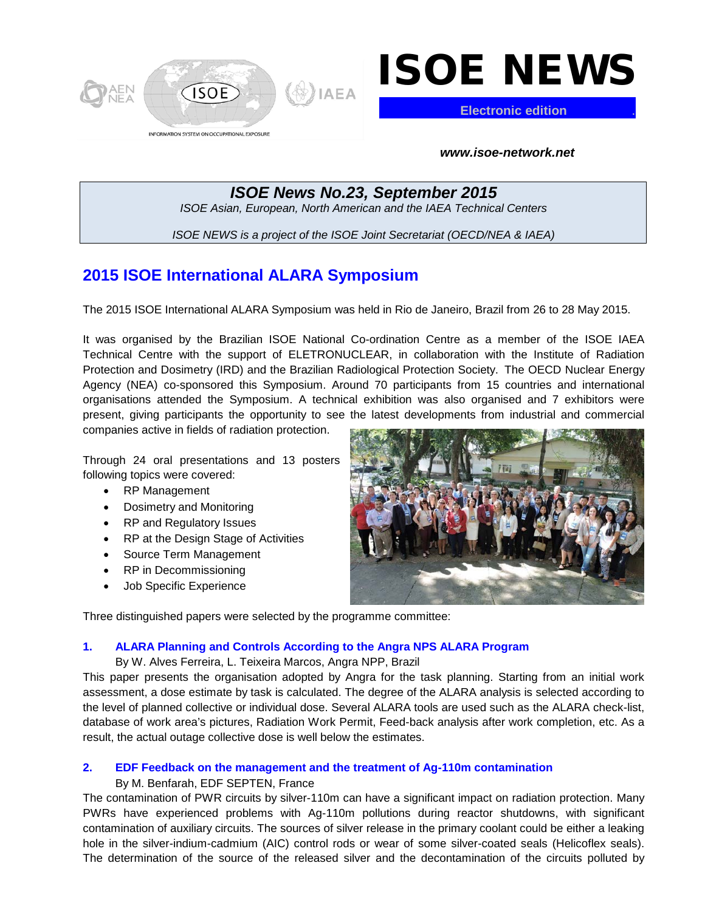

# ISOE NEWS

**Electronic edition** .

*www.isoe-network.net*

*ISOE News No.23, September 2015 ISOE Asian, European, North American and the IAEA Technical Centers*

*ISOE NEWS is a project of the ISOE Joint Secretariat (OECD/NEA & IAEA)*

# **2015 ISOE International ALARA Symposium**

The 2015 ISOE International ALARA Symposium was held in Rio de Janeiro, Brazil from 26 to 28 May 2015.

It was organised by the Brazilian ISOE National Co-ordination Centre as a member of the ISOE IAEA Technical Centre with the support of ELETRONUCLEAR, in collaboration with the Institute of Radiation Protection and Dosimetry (IRD) and the Brazilian Radiological Protection Society. The OECD Nuclear Energy Agency (NEA) co-sponsored this Symposium. Around 70 participants from 15 countries and international organisations attended the Symposium. A technical exhibition was also organised and 7 exhibitors were present, giving participants the opportunity to see the latest developments from industrial and commercial

companies active in fields of radiation protection.

Through 24 oral presentations and 13 posters following topics were covered:

- RP Management
- Dosimetry and Monitoring
- RP and Regulatory Issues
- RP at the Design Stage of Activities
- Source Term Management
- RP in Decommissioning
- Job Specific Experience



Three distinguished papers were selected by the programme committee:

## **1. ALARA Planning and Controls According to the Angra NPS ALARA Program**

By W. Alves Ferreira, L. Teixeira Marcos, Angra NPP, Brazil

This paper presents the organisation adopted by Angra for the task planning. Starting from an initial work assessment, a dose estimate by task is calculated. The degree of the ALARA analysis is selected according to the level of planned collective or individual dose. Several ALARA tools are used such as the ALARA check-list, database of work area's pictures, Radiation Work Permit, Feed-back analysis after work completion, etc. As a result, the actual outage collective dose is well below the estimates.

## **2. EDF Feedback on the management and the treatment of Ag-110m contamination**

### By M. Benfarah, EDF SEPTEN, France

The contamination of PWR circuits by silver-110m can have a significant impact on radiation protection. Many PWRs have experienced problems with Ag-110m pollutions during reactor shutdowns, with significant contamination of auxiliary circuits. The sources of silver release in the primary coolant could be either a leaking hole in the silver-indium-cadmium (AIC) control rods or wear of some silver-coated seals (Helicoflex seals). The determination of the source of the released silver and the decontamination of the circuits polluted by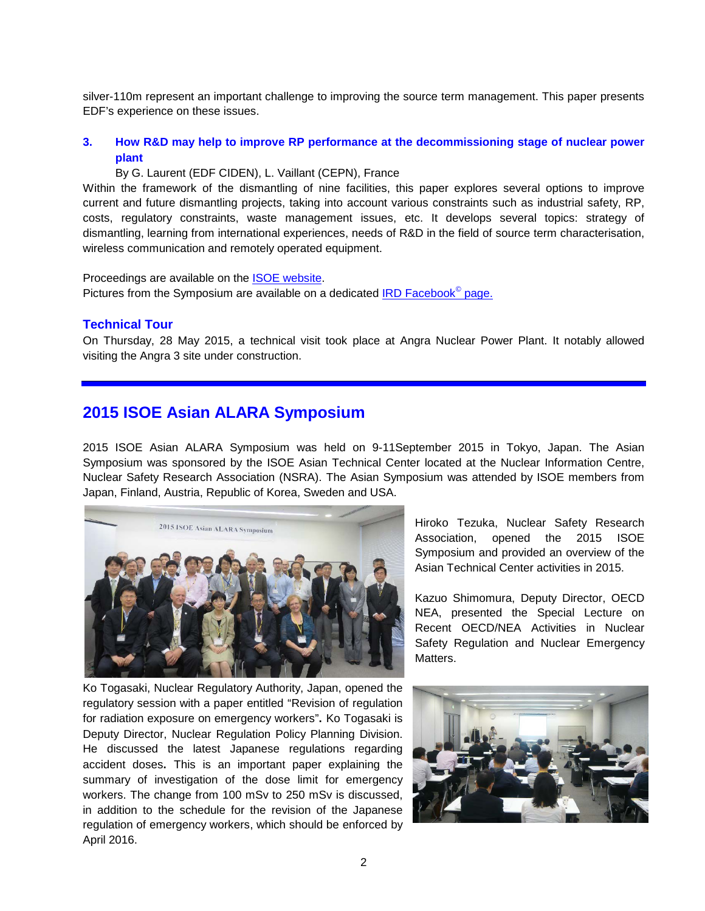silver-110m represent an important challenge to improving the source term management. This paper presents EDF's experience on these issues.

## **3. How R&D may help to improve RP performance at the decommissioning stage of nuclear power plant**

#### By G. Laurent (EDF CIDEN), L. Vaillant (CEPN), France

Within the framework of the dismantling of nine facilities, this paper explores several options to improve current and future dismantling projects, taking into account various constraints such as industrial safety, RP, costs, regulatory constraints, waste management issues, etc. It develops several topics: strategy of dismantling, learning from international experiences, needs of R&D in the field of source term characterisation, wireless communication and remotely operated equipment.

Proceedings are available on the ISOE [website.](http://www.isoe-network.net/index.php/symposium-mainmenu-113/proceedings.html) Pictures from the Symposium are available on a dedicated [IRD Facebook](https://www.facebook.com/media/set/?set=a.1605306426374179.1073741834.1438737639697726&type=3)<sup>©</sup> page.

#### **Technical Tour**

On Thursday, 28 May 2015, a technical visit took place at Angra Nuclear Power Plant. It notably allowed visiting the Angra 3 site under construction.

# **2015 ISOE Asian ALARA Symposium**

2015 ISOE Asian ALARA Symposium was held on 9-11September 2015 in Tokyo, Japan. The Asian Symposium was sponsored by the ISOE Asian Technical Center located at the Nuclear Information Centre, Nuclear Safety Research Association (NSRA). The Asian Symposium was attended by ISOE members from Japan, Finland, Austria, Republic of Korea, Sweden and USA.



Hiroko Tezuka, Nuclear Safety Research Association, opened the 2015 ISOE Symposium and provided an overview of the Asian Technical Center activities in 2015.

Kazuo Shimomura, Deputy Director, OECD NEA, presented the Special Lecture on Recent OECD/NEA Activities in Nuclear Safety Regulation and Nuclear Emergency Matters.

Ko Togasaki, Nuclear Regulatory Authority, Japan, opened the regulatory session with a paper entitled "Revision of regulation for radiation exposure on emergency workers"**.** Ko Togasaki is Deputy Director, Nuclear Regulation Policy Planning Division. He discussed the latest Japanese regulations regarding accident doses**.** This is an important paper explaining the summary of investigation of the dose limit for emergency workers. The change from 100 mSv to 250 mSv is discussed, in addition to the schedule for the revision of the Japanese regulation of emergency workers, which should be enforced by April 2016.

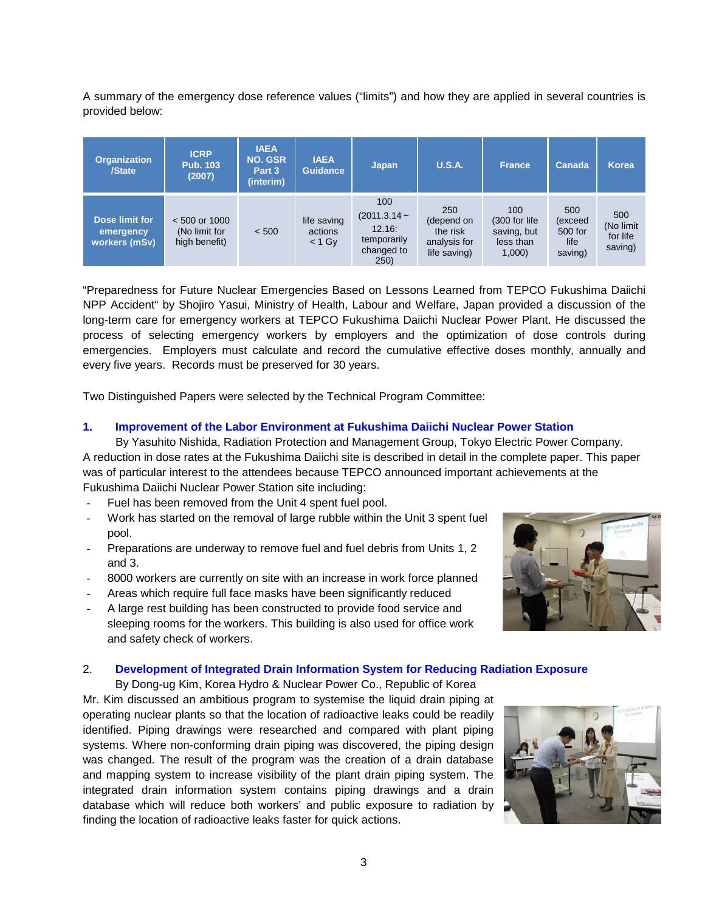A summary of the emergency dose reference values ("limits") and how they are applied in several countries is provided below:

| <b>Organization</b><br>/State                | <b>ICRP</b><br><b>Pub. 103</b><br>(2007)          | <b>IAEA</b><br><b>NO. GSR</b><br>Part 3<br>(interim) | <b>IAEA</b><br><b>Guidance</b>     | Japan                                                                | <b>U.S.A.</b>                                                 | <b>France</b>                                              | Canada                                       | <b>Korea</b>                            |
|----------------------------------------------|---------------------------------------------------|------------------------------------------------------|------------------------------------|----------------------------------------------------------------------|---------------------------------------------------------------|------------------------------------------------------------|----------------------------------------------|-----------------------------------------|
| Dose limit for<br>emergency<br>workers (mSv) | $< 500$ or 1000<br>(No limit for<br>high benefit) | < 500                                                | life saving<br>actions<br>$< 1$ Gy | 100<br>$(2011.3.14 -$<br>12.16:<br>temporarily<br>changed to<br>250) | 250<br>(depend on<br>the risk<br>analysis for<br>life saving) | 100<br>(300 for life)<br>saving, but<br>less than<br>1,000 | 500<br>(exceed<br>500 for<br>life<br>saving) | 500<br>(No limit<br>for life<br>saving) |

"Preparedness for Future Nuclear Emergencies Based on Lessons Learned from TEPCO Fukushima Daiichi NPP Accident" by Shojiro Yasui, Ministry of Health, Labour and Welfare, Japan provided a discussion of the long-term care for emergency workers at TEPCO Fukushima Daiichi Nuclear Power Plant. He discussed the process of selecting emergency workers by employers and the optimization of dose controls during emergencies. Employers must calculate and record the cumulative effective doses monthly, annually and every five years. Records must be preserved for 30 years.

Two Distinguished Papers were selected by the Technical Program Committee:

#### **1. Improvement of the Labor Environment at Fukushima Daiichi Nuclear Power Station**

By Yasuhito Nishida, Radiation Protection and Management Group, Tokyo Electric Power Company. A reduction in dose rates at the Fukushima Daiichi site is described in detail in the complete paper. This paper was of particular interest to the attendees because TEPCO announced important achievements at the Fukushima Daiichi Nuclear Power Station site including:

- Fuel has been removed from the Unit 4 spent fuel pool.
- Work has started on the removal of large rubble within the Unit 3 spent fuel pool.
- Preparations are underway to remove fuel and fuel debris from Units 1, 2 and 3.
- 8000 workers are currently on site with an increase in work force planned
- Areas which require full face masks have been significantly reduced
- A large rest building has been constructed to provide food service and sleeping rooms for the workers. This building is also used for office work and safety check of workers.



#### 2. **Development of Integrated Drain Information System for Reducing Radiation Exposure**

By Dong-ug Kim, Korea Hydro & Nuclear Power Co., Republic of Korea Mr. Kim discussed an ambitious program to systemise the liquid drain piping at operating nuclear plants so that the location of radioactive leaks could be readily identified. Piping drawings were researched and compared with plant piping systems. Where non-conforming drain piping was discovered, the piping design was changed. The result of the program was the creation of a drain database and mapping system to increase visibility of the plant drain piping system. The integrated drain information system contains piping drawings and a drain database which will reduce both workers' and public exposure to radiation by finding the location of radioactive leaks faster for quick actions.

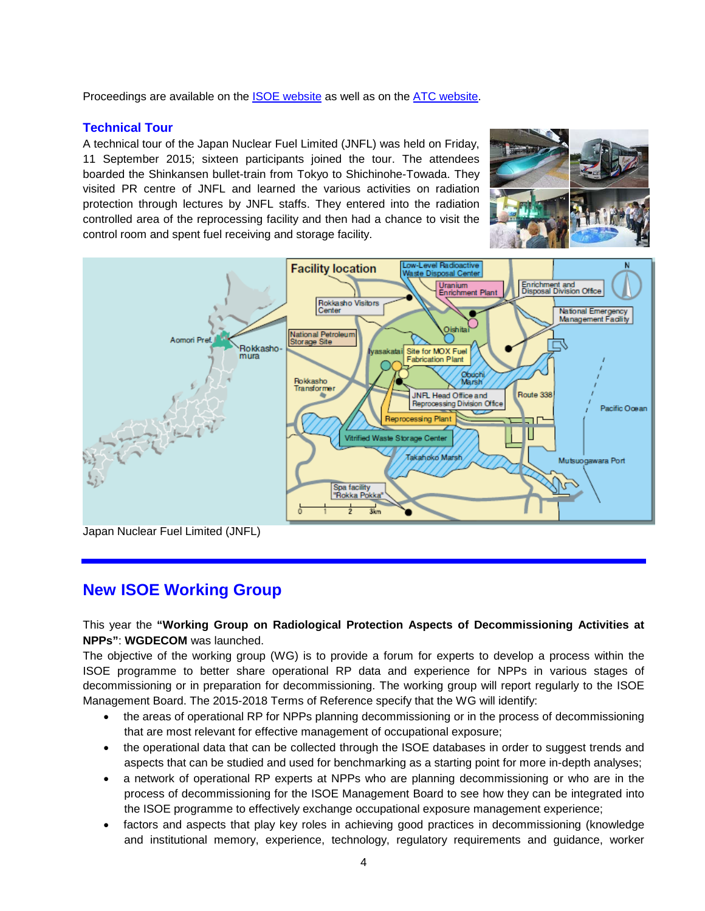Proceedings are available on the ISOE [website](http://www.isoe-network.net/index.php/symposium-mainmenu-113/proceedings.html) as well as on the [ATC website.](http://www.nsra.or.jp/isoe/english/alarasymposium/workshop_2015.html)

## **Technical Tour**

A technical tour of the Japan Nuclear Fuel Limited (JNFL) was held on Friday, 11 September 2015; sixteen participants joined the tour. The attendees boarded the Shinkansen bullet-train from Tokyo to Shichinohe-Towada. They visited PR centre of JNFL and learned the various activities on radiation protection through lectures by JNFL staffs. They entered into the radiation controlled area of the reprocessing facility and then had a chance to visit the control room and spent fuel receiving and storage facility.





Japan Nuclear Fuel Limited (JNFL)

# **New ISOE Working Group**

## This year the **"Working Group on Radiological Protection Aspects of Decommissioning Activities at NPPs"**: **WGDECOM** was launched.

The objective of the working group (WG) is to provide a forum for experts to develop a process within the ISOE programme to better share operational RP data and experience for NPPs in various stages of decommissioning or in preparation for decommissioning. The working group will report regularly to the ISOE Management Board. The 2015-2018 Terms of Reference specify that the WG will identify:

- the areas of operational RP for NPPs planning decommissioning or in the process of decommissioning that are most relevant for effective management of occupational exposure;
- the operational data that can be collected through the ISOE databases in order to suggest trends and aspects that can be studied and used for benchmarking as a starting point for more in-depth analyses;
- a network of operational RP experts at NPPs who are planning decommissioning or who are in the process of decommissioning for the ISOE Management Board to see how they can be integrated into the ISOE programme to effectively exchange occupational exposure management experience;
- factors and aspects that play key roles in achieving good practices in decommissioning (knowledge and institutional memory, experience, technology, regulatory requirements and guidance, worker